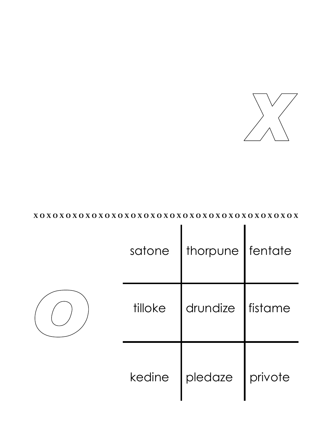

#### $X\,O\,X\,O\,X\,O\,X\,O\,X\,O\,X\,O\,X\,O\,X\,O\,X\,O\,X\,O\,X\,O\,X\,O\,X\,O\,X\,O\,X\,O\,X\,O\,X\,O\,X\,O\,X\,O\,X\,O\,X\,O\,X\,O\,X\,O\,X\,O\,X\,O\,X\,O\,X\,O\,X\,O\,X\,O\,X\,O\,X\,O\,X\,O\,X\,O\,X\,O\,X\,O\,X\,O\,X\,O$

|  | satone   thorpune   fentate |  |
|--|-----------------------------|--|
|  | tilloke drundize fistame    |  |
|  | kedine   pledaze   privote  |  |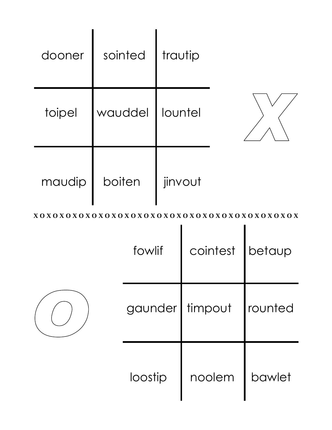| dooner | sointed | trautip   |  |
|--------|---------|-----------|--|
| toipel | wauddel | I lountel |  |
| maudip | boiten  | jinvout   |  |

|  | fowlif  | cointest   betaup |         |
|--|---------|-------------------|---------|
|  |         | gaunder   timpout | rounted |
|  | loostip | noolem            | bawlet  |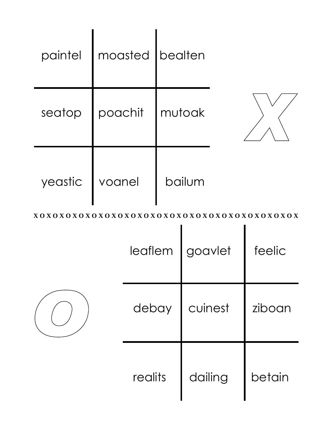|                | paintel   moasted   bealten |        |  |
|----------------|-----------------------------|--------|--|
|                | seatop poachit mutoak       |        |  |
| yeastic voanel |                             | bailum |  |

|  |         | leaflem   goavlet | feelic |
|--|---------|-------------------|--------|
|  | debay   | cuinest           | ziboan |
|  | realits | dailing           | betain |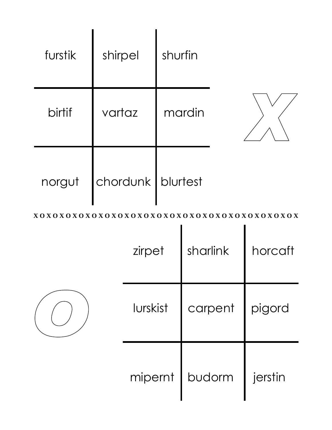| furstik | shirpel             | shurfin |  |
|---------|---------------------|---------|--|
| birtif  | vartaz              | mardin  |  |
| norgut  | chordunk   blurtest |         |  |

|  | zirpet   | sharlink         | horcaft |
|--|----------|------------------|---------|
|  | lurskist | carpent   pigord |         |
|  |          | mipernt   budorm | jerstin |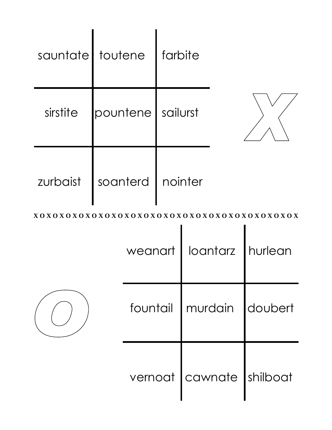| sauntate toutene farbite       |  |  |  |                              |
|--------------------------------|--|--|--|------------------------------|
| sirstite   pountene   sailurst |  |  |  |                              |
| zurbaist   soanterd   nointer  |  |  |  |                              |
|                                |  |  |  |                              |
|                                |  |  |  | weanart   loantarz   hurlean |
|                                |  |  |  | fountail   murdain   doubert |
|                                |  |  |  | vernoat cawnate shilboat     |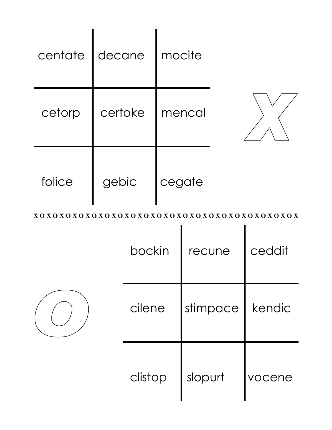| centate | decane  | <i>I</i> mocite |  |
|---------|---------|-----------------|--|
| cetorp  | certoke | mencal          |  |
| folice  | gebic   | cegate          |  |

| bockin  | recune   | ceddit |
|---------|----------|--------|
| cilene  | stimpace | kendic |
| clistop | slopurt  | vocene |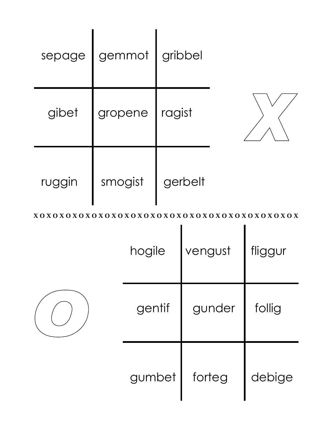| sepage | gemmot  | gribbel |  |
|--------|---------|---------|--|
| gibet  | gropene | ragist  |  |
| ruggin | smogist | gerbelt |  |

| hogile           | vengust | fliggur |
|------------------|---------|---------|
| gunder<br>gentif |         | follig  |
| gumbet           | forteg  | debige  |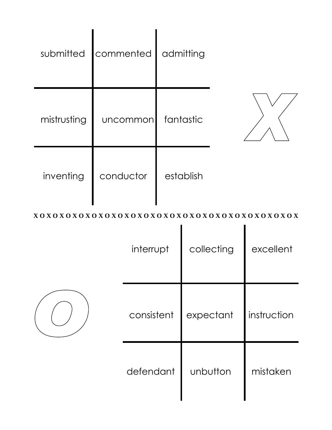| submitted   | commented | admitting |  |
|-------------|-----------|-----------|--|
| mistrusting | uncommon  | fantastic |  |
| inventing   | conductor | establish |  |

| interrupt  | collecting | excellent   |
|------------|------------|-------------|
| consistent | expectant  | instruction |
| defendant  | unbutton   | mistaken    |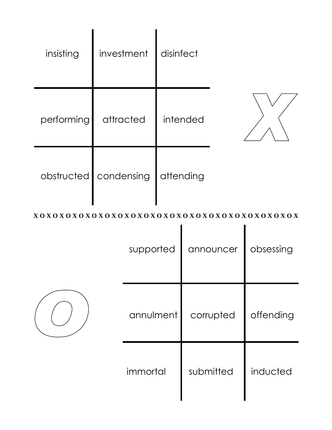| insisting  | investment | disinfect |  |
|------------|------------|-----------|--|
| performing | attracted  | intended  |  |
| obstructed | condensing | attending |  |

|  | supported | announcer | obsessing |
|--|-----------|-----------|-----------|
|  | annulment | corrupted | offending |
|  | immortal  | submitted | inducted  |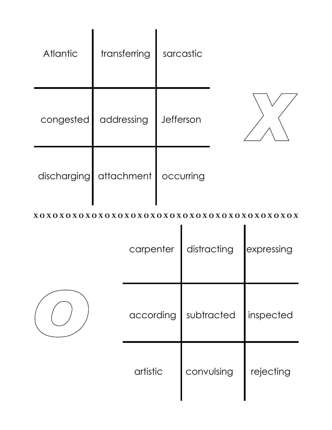| <b>Atlantic</b> | transferring | sarcastic |  |
|-----------------|--------------|-----------|--|
| congested       | addressing   | Jefferson |  |
| discharging     | attachment   | occurring |  |

| carpenter | distracting | expressing |
|-----------|-------------|------------|
| according | subtracted  | inspected  |
| artistic  | convulsing  | rejecting  |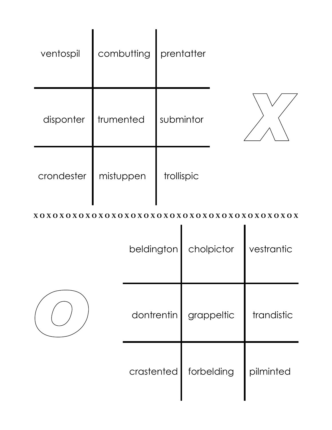| ventospil  | combutting | prentatter |  |
|------------|------------|------------|--|
| disponter  | trumented  | submintor  |  |
| crondester | mistuppen  | trollispic |  |

| beldington | cholpictor | vestrantic |
|------------|------------|------------|
| dontrentin | grappeltic | trandistic |
| crastented | forbelding | pilminted  |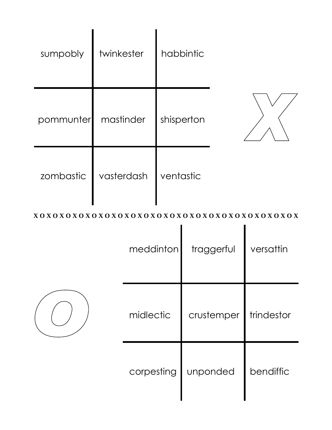| sumpobly  | twinkester | habbintic  |  |
|-----------|------------|------------|--|
| pommunter | mastinder  | shisperton |  |
| zombastic | vasterdash | ventastic  |  |

|  | meddinton  | traggerful | versattin  |
|--|------------|------------|------------|
|  | midlectic  | crustemper | trindestor |
|  | corpesting | unponded   | bendiffic  |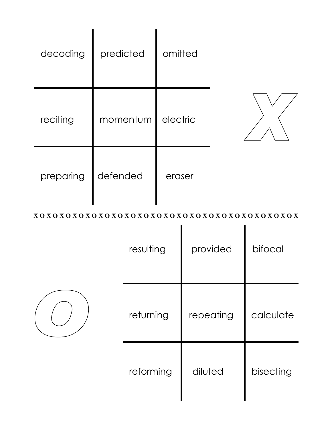| decoding  | predicted | omitted  |  |
|-----------|-----------|----------|--|
| reciting  | momentum  | electric |  |
| preparing | defended  | eraser   |  |

| resulting | provided  | bifocal   |
|-----------|-----------|-----------|
| returning | repeating | calculate |
| reforming | diluted   | bisecting |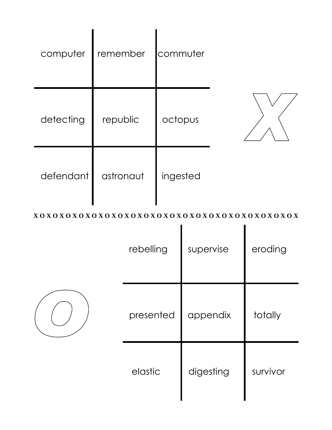| computer  | remember  | commuter |  |
|-----------|-----------|----------|--|
| detecting | republic  | octopus  |  |
| defendant | astronaut | ingested |  |

| rebelling | supervise | eroding  |
|-----------|-----------|----------|
| presented | appendix  | totally  |
| elastic   | digesting | survivor |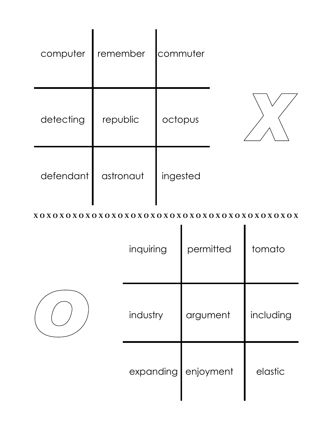| computer  | remember  | commuter |  |
|-----------|-----------|----------|--|
| detecting | republic  | octopus  |  |
| defendant | astronaut | ingested |  |

| inquiring | permitted | tomato    |
|-----------|-----------|-----------|
| industry  | argument  | including |
| expanding | enjoyment | elastic   |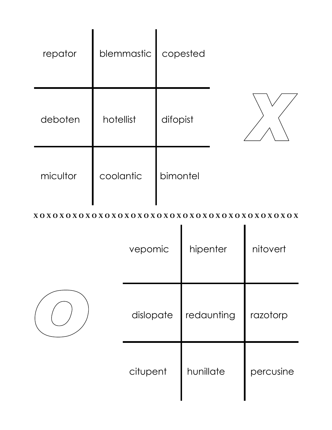| repator  | blemmastic | copested |  |
|----------|------------|----------|--|
| deboten  | hotellist  | difopist |  |
| micultor | coolantic  | bimontel |  |

| vepomic   | hipenter   | nitovert  |
|-----------|------------|-----------|
| dislopate | redaunting | razotorp  |
| citupent  | hunillate  | percusine |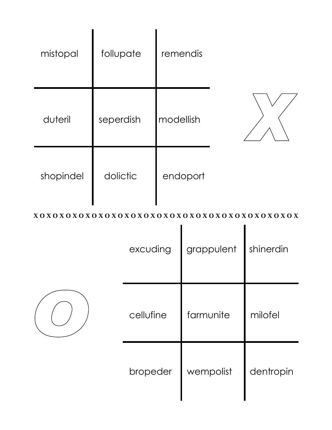| mistopal  | follupate | remendis  |  |
|-----------|-----------|-----------|--|
| duteril   | seperdish | modellish |  |
| shopindel | dolictic  | endoport  |  |

| excuding  | grappulent | shinerdin |
|-----------|------------|-----------|
| cellufine | farmunite  | milofel   |
| bropeder  | wempolist  | dentropin |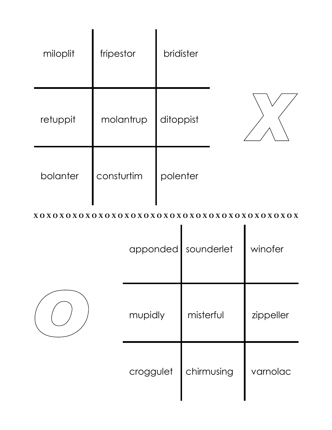| miloplit | fripestor  | bridister |  |
|----------|------------|-----------|--|
| retuppit | molantrup  | ditoppist |  |
| bolanter | consturtim | polenter  |  |

| apponded sounderlet |            | winofer   |
|---------------------|------------|-----------|
| mupidly             | misterful  | zippeller |
| croggulet           | chirmusing | varnolac  |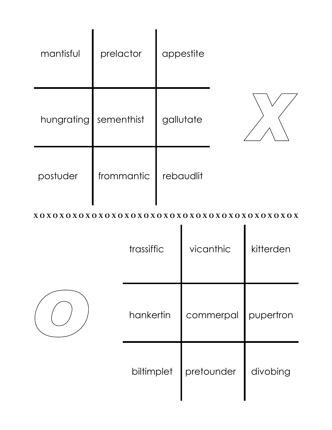| mantisful  | prelactor  | appestite |  |
|------------|------------|-----------|--|
| hungrating | sementhist | gallutate |  |
| postuder   | frommantic | rebaudlit |  |

| trassiffic | vicanthic  | kitterden |
|------------|------------|-----------|
| hankertin  | commerpal  | pupertron |
| biltimplet | pretounder | divobing  |